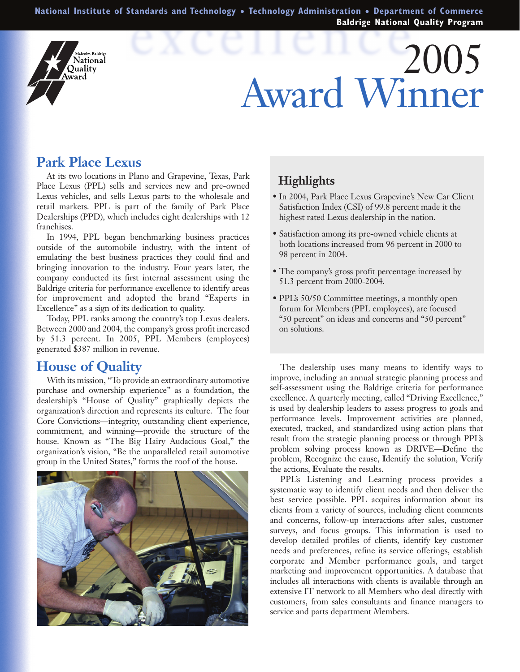**National Institute of Standards and Technology** ● **Technology Administration** ● **Department of Commerce Baldrige National Quality Program**

# 2005 Award Winner

## **Park Place Lexus**

alcolm Baldrige Vational Ouality Award

At its two locations in Plano and Grapevine, Texas, Park Place Lexus (PPL) sells and services new and pre-owned Lexus vehicles, and sells Lexus parts to the wholesale and retail markets. PPL is part of the family of Park Place Dealerships (PPD), which includes eight dealerships with 12 franchises.

In 1994, PPL began benchmarking business practices outside of the automobile industry, with the intent of emulating the best business practices they could find and bringing innovation to the industry. Four years later, the company conducted its first internal assessment using the Baldrige criteria for performance excellence to identify areas for improvement and adopted the brand "Experts in Excellence" as a sign of its dedication to quality.

Today, PPL ranks among the country's top Lexus dealers. Between 2000 and 2004, the company's gross profit increased by 51.3 percent. In 2005, PPL Members (employees) generated \$387 million in revenue.

### **House of Quality**

With its mission, "To provide an extraordinary automotive purchase and ownership experience" as a foundation, the dealership's "House of Quality" graphically depicts the organization's direction and represents its culture. The four Core Convictions—integrity, outstanding client experience, commitment, and winning—provide the structure of the house. Known as "The Big Hairy Audacious Goal," the organization's vision, "Be the unparalleled retail automotive group in the United States," forms the roof of the house.



#### **Highlights**

- In 2004, Park Place Lexus Grapevine's New Car Client Satisfaction Index (CSI) of 99.8 percent made it the highest rated Lexus dealership in the nation.
- Satisfaction among its pre-owned vehicle clients at both locations increased from 96 percent in 2000 to 98 percent in 2004.
- The company's gross profit percentage increased by 51.3 percent from 2000-2004.
- PPL's 50/50 Committee meetings, a monthly open forum for Members (PPL employees), are focused "50 percent" on ideas and concerns and "50 percent" on solutions.

The dealership uses many means to identify ways to improve, including an annual strategic planning process and self-assessment using the Baldrige criteria for performance excellence. A quarterly meeting, called "Driving Excellence," is used by dealership leaders to assess progress to goals and performance levels. Improvement activities are planned, executed, tracked, and standardized using action plans that result from the strategic planning process or through PPL's problem solving process known as DRIVE—**D**efine the problem, **R**ecognize the cause, **I**dentify the solution, **V**erify the actions, **E**valuate the results.

PPL's Listening and Learning process provides a systematic way to identify client needs and then deliver the best service possible. PPL acquires information about its clients from a variety of sources, including client comments and concerns, follow-up interactions after sales, customer surveys, and focus groups. This information is used to develop detailed profiles of clients, identify key customer needs and preferences, refine its service offerings, establish corporate and Member performance goals, and target marketing and improvement opportunities. A database that includes all interactions with clients is available through an extensive IT network to all Members who deal directly with customers, from sales consultants and finance managers to service and parts department Members.